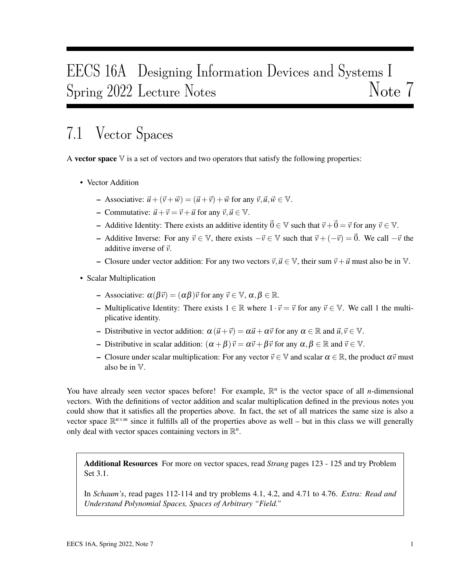# EECS 16A Designing Information Devices and Systems I Spring 2022 Lecture Notes Note 7

## 7.1 Vector Spaces

A vector space  $\nabla$  is a set of vectors and two operators that satisfy the following properties:

- Vector Addition
	- $-$  Associative:  $\vec{u} + (\vec{v} + \vec{w}) = (\vec{u} + \vec{v}) + \vec{w}$  for any  $\vec{v}, \vec{u}, \vec{w} \in \mathbb{V}$ .
	- Commutative:  $\vec{u} + \vec{v} = \vec{v} + \vec{u}$  for any  $\vec{v}, \vec{u} \in \mathbb{V}$ .
	- Additive Identity: There exists an additive identity  $\vec{0} \in \mathbb{V}$  such that  $\vec{v} + \vec{0} = \vec{v}$  for any  $\vec{v} \in \mathbb{V}$ .
	- Additive Inverse: For any  $\vec{v} \in \mathbb{V}$ , there exists  $-\vec{v} \in \mathbb{V}$  such that  $\vec{v} + (-\vec{v}) = \vec{0}$ . We call  $-\vec{v}$  the additive inverse of  $\vec{v}$ .
	- Closure under vector addition: For any two vectors  $\vec{v}, \vec{u} \in \mathbb{V}$ , their sum  $\vec{v} + \vec{u}$  must also be in V.
- Scalar Multiplication
	- Associative:  $\alpha(\beta \vec{v}) = (\alpha \beta) \vec{v}$  for any  $\vec{v} \in \mathbb{V}$ ,  $\alpha, \beta \in \mathbb{R}$ .
	- Multiplicative Identity: There exists  $1 \in \mathbb{R}$  where  $1 \cdot \vec{v} = \vec{v}$  for any  $\vec{v} \in \mathbb{V}$ . We call 1 the multiplicative identity.
	- Distributive in vector addition:  $\alpha (\vec{u} + \vec{v}) = \alpha \vec{u} + \alpha \vec{v}$  for any  $\alpha \in \mathbb{R}$  and  $\vec{u}, \vec{v} \in \mathbb{V}$ .
	- Distributive in scalar addition:  $(\alpha + \beta)\vec{v} = \alpha\vec{v} + \beta\vec{v}$  for any  $\alpha, \beta \in \mathbb{R}$  and  $\vec{v} \in \mathbb{V}$ .
	- Closure under scalar multiplication: For any vector  $\vec{v}$  ∈ V and scalar α ∈ ℝ, the product α $\vec{v}$  must also be in V.

You have already seen vector spaces before! For example,  $\mathbb{R}^n$  is the vector space of all *n*-dimensional vectors. With the definitions of vector addition and scalar multiplication defined in the previous notes you could show that it satisfies all the properties above. In fact, the set of all matrices the same size is also a vector space  $\mathbb{R}^{n \times m}$  since it fulfills all of the properties above as well – but in this class we will generally only deal with vector spaces containing vectors in  $\mathbb{R}^n$ .

Additional Resources For more on vector spaces, read *Strang* pages 123 - 125 and try Problem Set 3.1.

In *Schaum's*, read pages 112-114 and try problems 4.1, 4.2, and 4.71 to 4.76. *Extra: Read and Understand Polynomial Spaces, Spaces of Arbitrary "Field."*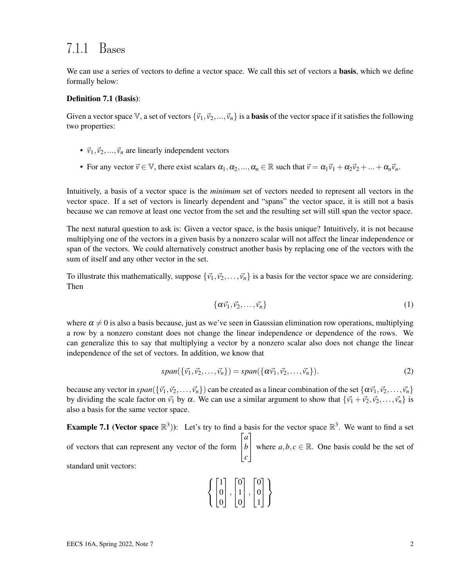### 7.1.1 Bases

We can use a series of vectors to define a vector space. We call this set of vectors a **basis**, which we define formally below:

#### Definition 7.1 (Basis):

Given a vector space V, a set of vectors  $\{\vec{v}_1,\vec{v}_2,...,\vec{v}_n\}$  is a **basis** of the vector space if it satisfies the following two properties:

- $\vec{v}_1, \vec{v}_2, \dots, \vec{v}_n$  are linearly independent vectors
- For any vector  $\vec{v} \in \mathbb{V}$ , there exist scalars  $\alpha_1, \alpha_2, ..., \alpha_n \in \mathbb{R}$  such that  $\vec{v} = \alpha_1 \vec{v}_1 + \alpha_2 \vec{v}_2 + ... + \alpha_n \vec{v}_n$ .

Intuitively, a basis of a vector space is the *minimum* set of vectors needed to represent all vectors in the vector space. If a set of vectors is linearly dependent and "spans" the vector space, it is still not a basis because we can remove at least one vector from the set and the resulting set will still span the vector space.

The next natural question to ask is: Given a vector space, is the basis unique? Intuitively, it is not because multiplying one of the vectors in a given basis by a nonzero scalar will not affect the linear independence or span of the vectors. We could alternatively construct another basis by replacing one of the vectors with the sum of itself and any other vector in the set.

To illustrate this mathematically, suppose  $\{\vec{v_1}, \vec{v_2}, \dots, \vec{v_n}\}$  is a basis for the vector space we are considering. Then

$$
\{\alpha \vec{v_1}, \vec{v_2}, \dots, \vec{v_n}\}\tag{1}
$$

where  $\alpha \neq 0$  is also a basis because, just as we've seen in Gaussian elimination row operations, multiplying a row by a nonzero constant does not change the linear independence or dependence of the rows. We can generalize this to say that multiplying a vector by a nonzero scalar also does not change the linear independence of the set of vectors. In addition, we know that

$$
span(\{\vec{v_1}, \vec{v_2}, \dots, \vec{v_n}\}) = span(\{\alpha \vec{v_1}, \vec{v_2}, \dots, \vec{v_n}\}).
$$
\n(2)

because any vector in  $span({\{\vec{v_1}, \vec{v_2}, \dots, \vec{v_n}\}})$  can be created as a linear combination of the set  $\{\alpha \vec{v_1}, \vec{v_2}, \dots, \vec{v_n}\}$ by dividing the scale factor on  $\vec{v}_1$  by  $\alpha$ . We can use a similar argument to show that  $\{\vec{v}_1 + \vec{v}_2, \vec{v}_2, \dots, \vec{v}_n\}$  is also a basis for the same vector space.

**Example 7.1** (Vector space  $\mathbb{R}^3$ )): Let's try to find a basis for the vector space  $\mathbb{R}^3$ . We want to find a set of vectors that can represent any vector of the form  $\left|b\right|$  *a c* 1 where  $a, b, c \in \mathbb{R}$ . One basis could be the set of

standard unit vectors:

$$
\left\{ \begin{bmatrix} 1 \\ 0 \\ 0 \end{bmatrix}, \begin{bmatrix} 0 \\ 1 \\ 0 \end{bmatrix}, \begin{bmatrix} 0 \\ 0 \\ 1 \end{bmatrix} \right\}
$$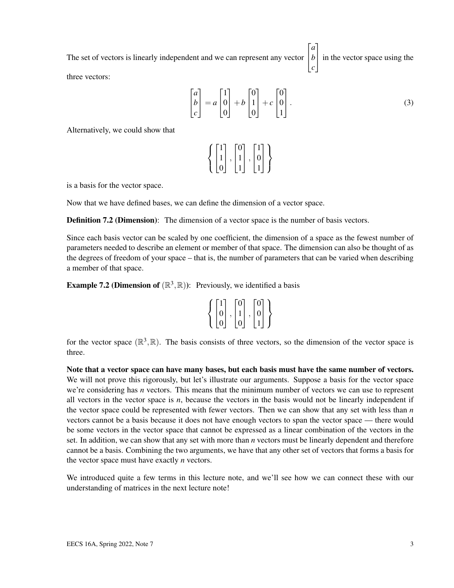The set of vectors is linearly independent and we can represent any vector  $\sqrt{ }$  $\overline{1}$ *a b c* 1 in the vector space using the three vectors:

$$
\begin{bmatrix} a \\ b \\ c \end{bmatrix} = a \begin{bmatrix} 1 \\ 0 \\ 0 \end{bmatrix} + b \begin{bmatrix} 0 \\ 1 \\ 0 \end{bmatrix} + c \begin{bmatrix} 0 \\ 0 \\ 1 \end{bmatrix}.
$$
 (3)

Alternatively, we could show that

$$
\left\{\begin{bmatrix}1\\1\\0\end{bmatrix},\begin{bmatrix}0\\1\\1\end{bmatrix},\begin{bmatrix}1\\0\\1\end{bmatrix}\right\}
$$

is a basis for the vector space.

Now that we have defined bases, we can define the dimension of a vector space.

**Definition 7.2 (Dimension):** The dimension of a vector space is the number of basis vectors.

Since each basis vector can be scaled by one coefficient, the dimension of a space as the fewest number of parameters needed to describe an element or member of that space. The dimension can also be thought of as the degrees of freedom of your space – that is, the number of parameters that can be varied when describing a member of that space.

**Example 7.2 (Dimension of**  $(\mathbb{R}^3, \mathbb{R})$ ): Previously, we identified a basis

|   | $\mathbf{\Omega}$ | ٦ |  |
|---|-------------------|---|--|
| 0 |                   |   |  |
|   |                   |   |  |

for the vector space  $(\mathbb{R}^3, \mathbb{R})$ . The basis consists of three vectors, so the dimension of the vector space is three.

Note that a vector space can have many bases, but each basis must have the same number of vectors. We will not prove this rigorously, but let's illustrate our arguments. Suppose a basis for the vector space we're considering has *n* vectors. This means that the minimum number of vectors we can use to represent all vectors in the vector space is *n*, because the vectors in the basis would not be linearly independent if the vector space could be represented with fewer vectors. Then we can show that any set with less than *n* vectors cannot be a basis because it does not have enough vectors to span the vector space — there would be some vectors in the vector space that cannot be expressed as a linear combination of the vectors in the set. In addition, we can show that any set with more than *n* vectors must be linearly dependent and therefore cannot be a basis. Combining the two arguments, we have that any other set of vectors that forms a basis for the vector space must have exactly *n* vectors.

We introduced quite a few terms in this lecture note, and we'll see how we can connect these with our understanding of matrices in the next lecture note!